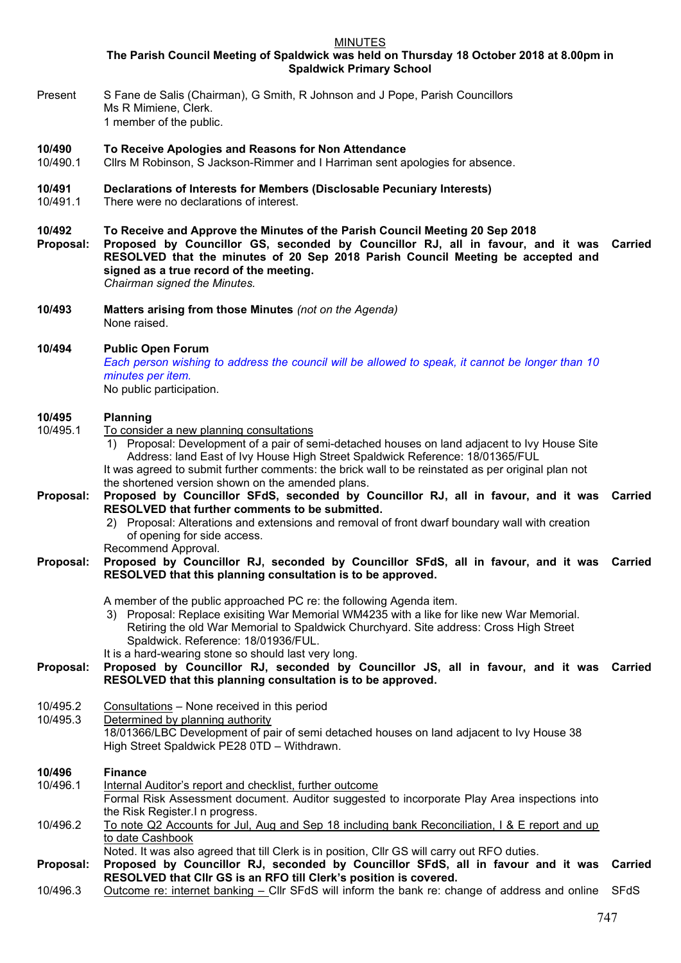MINUTES

**The Parish Council Meeting of Spaldwick was held on Thursday 18 October 2018 at 8.00pm in Spaldwick Primary School**

Present S Fane de Salis (Chairman), G Smith, R Johnson and J Pope, Parish Councillors Ms R Mimiene, Clerk. 1 member of the public.

# **10/490 To Receive Apologies and Reasons for Non Attendance**

Cllrs M Robinson, S Jackson-Rimmer and I Harriman sent apologies for absence.

# **10/491 Declarations of Interests for Members (Disclosable Pecuniary Interests)**

10/491.1 There were no declarations of interest.

# **10/492 To Receive and Approve the Minutes of the Parish Council Meeting 20 Sep 2018**

- **Proposal: Proposed by Councillor GS, seconded by Councillor RJ, all in favour, and it was RESOLVED that the minutes of 20 Sep 2018 Parish Council Meeting be accepted and signed as a true record of the meeting. Carried** *Chairman signed the Minutes.*
- **10/493 Matters arising from those Minutes** *(not on the Agenda)* None raised.

# **10/494 Public Open Forum**

*Each person wishing to address the council will be allowed to speak, it cannot be longer than 10 minutes per item.* 

No public participation.

### **10/495 Planning**

- 10/495.1 To consider a new planning consultations
	- 1) Proposal: Development of a pair of semi-detached houses on land adjacent to Ivy House Site Address: land East of Ivy House High Street Spaldwick Reference: 18/01365/FUL It was agreed to submit further comments: the brick wall to be reinstated as per original plan not

the shortened version shown on the amended plans.

- **Proposal: Proposed by Councillor SFdS, seconded by Councillor RJ, all in favour, and it was Carried RESOLVED that further comments to be submitted.**
	- 2) Proposal: Alterations and extensions and removal of front dwarf boundary wall with creation of opening for side access.

Recommend Approval.

#### **Proposal: Proposed by Councillor RJ, seconded by Councillor SFdS, all in favour, and it was RESOLVED that this planning consultation is to be approved. Carried**

- A member of the public approached PC re: the following Agenda item.
	- 3) Proposal: Replace exisiting War Memorial WM4235 with a like for like new War Memorial. Retiring the old War Memorial to Spaldwick Churchyard. Site address: Cross High Street Spaldwick. Reference: 18/01936/FUL.
- It is a hard-wearing stone so should last very long.

# **Proposal: Proposed by Councillor RJ, seconded by Councillor JS, all in favour, and it was Carried RESOLVED that this planning consultation is to be approved.**

- 10/495.2 Consultations None received in this period<br>10/495.3 Determined by planning authority
- Determined by planning authority 18/01366/LBC Development of pair of semi detached houses on land adjacent to Ivy House 38 High Street Spaldwick PE28 0TD – Withdrawn.

# **10/496 Finance** 10/496.1 Internal Auditor's report and checklist, further outcome Formal Risk Assessment document. Auditor suggested to incorporate Play Area inspections into the Risk Register.I n progress. 10/496.2 To note Q2 Accounts for Jul, Aug and Sep 18 including bank Reconciliation, I & E report and up to date Cashbook Noted. It was also agreed that till Clerk is in position, Cllr GS will carry out RFO duties. **Proposal: Proposed by Councillor RJ, seconded by Councillor SFdS, all in favour and it was**

**RESOLVED that Cllr GS is an RFO till Clerk's position is covered. Carried** 10/496.3 Outcome re: internet banking – Cllr SFdS will inform the bank re: change of address and online SFdS